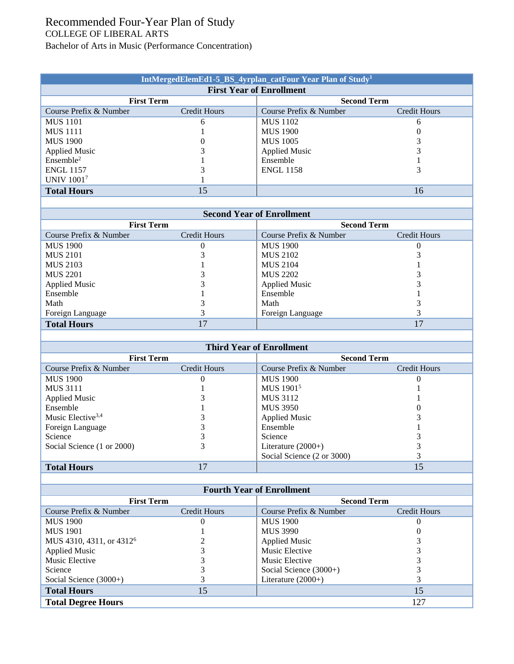## Recommended Four-Year Plan of Study COLLEGE OF LIBERAL ARTS Bachelor of Arts in Music (Performance Concentration)

| IntMergedElemEd1-5_BS_4yrplan_catFour Year Plan of Study <sup>1</sup> |              |                        |                     |  |  |  |  |
|-----------------------------------------------------------------------|--------------|------------------------|---------------------|--|--|--|--|
| <b>First Year of Enrollment</b>                                       |              |                        |                     |  |  |  |  |
| <b>First Term</b>                                                     |              | <b>Second Term</b>     |                     |  |  |  |  |
| Course Prefix & Number                                                | Credit Hours | Course Prefix & Number | <b>Credit Hours</b> |  |  |  |  |
| <b>MUS</b> 1101                                                       | 6            | <b>MUS 1102</b>        | 6                   |  |  |  |  |
| <b>MUS</b> 1111                                                       |              | <b>MUS 1900</b>        |                     |  |  |  |  |
| <b>MUS 1900</b>                                                       |              | <b>MUS 1005</b>        |                     |  |  |  |  |
| <b>Applied Music</b>                                                  |              | <b>Applied Music</b>   |                     |  |  |  |  |
| Ensemble <sup>2</sup>                                                 |              | Ensemble               |                     |  |  |  |  |
| <b>ENGL 1157</b>                                                      |              | <b>ENGL 1158</b>       |                     |  |  |  |  |
| <b>UNIV 10017</b>                                                     |              |                        |                     |  |  |  |  |
| <b>Total Hours</b>                                                    | 15           |                        | 16                  |  |  |  |  |

| <b>Second Year of Enrollment</b> |              |                        |              |  |  |  |
|----------------------------------|--------------|------------------------|--------------|--|--|--|
| <b>First Term</b>                |              | <b>Second Term</b>     |              |  |  |  |
| Course Prefix & Number           | Credit Hours | Course Prefix & Number | Credit Hours |  |  |  |
| <b>MUS 1900</b>                  |              | <b>MUS 1900</b>        |              |  |  |  |
| <b>MUS 2101</b>                  |              | <b>MUS 2102</b>        |              |  |  |  |
| MUS 2103                         |              | <b>MUS 2104</b>        |              |  |  |  |
| <b>MUS 2201</b>                  |              | <b>MUS 2202</b>        |              |  |  |  |
| <b>Applied Music</b>             |              | <b>Applied Music</b>   |              |  |  |  |
| Ensemble                         |              | Ensemble               |              |  |  |  |
| Math                             |              | Math                   |              |  |  |  |
| Foreign Language                 |              | Foreign Language       |              |  |  |  |
| <b>Total Hours</b>               |              |                        |              |  |  |  |

| <b>Third Year of Enrollment</b> |               |                            |                    |  |  |  |
|---------------------------------|---------------|----------------------------|--------------------|--|--|--|
| <b>First Term</b>               |               |                            | <b>Second Term</b> |  |  |  |
| Course Prefix & Number          | Credit Hours  | Course Prefix & Number     | Credit Hours       |  |  |  |
| <b>MUS 1900</b>                 | 0             | <b>MUS</b> 1900            |                    |  |  |  |
| <b>MUS 3111</b>                 |               | MUS 1901 <sup>5</sup>      |                    |  |  |  |
| <b>Applied Music</b>            |               | <b>MUS 3112</b>            |                    |  |  |  |
| Ensemble                        |               | <b>MUS 3950</b>            |                    |  |  |  |
| Music Elective <sup>3,4</sup>   |               | <b>Applied Music</b>       |                    |  |  |  |
| Foreign Language                |               | Ensemble                   |                    |  |  |  |
| Science                         |               | Science                    |                    |  |  |  |
| Social Science (1 or 2000)      |               | Literature $(2000+)$       |                    |  |  |  |
|                                 |               | Social Science (2 or 3000) |                    |  |  |  |
| <b>Total Hours</b>              | $\mathcal{I}$ |                            | 15                 |  |  |  |

| <b>Fourth Year of Enrollment</b>     |              |                          |                    |  |  |  |
|--------------------------------------|--------------|--------------------------|--------------------|--|--|--|
| <b>First Term</b>                    |              |                          | <b>Second Term</b> |  |  |  |
| Course Prefix & Number               | Credit Hours | Course Prefix & Number   | Credit Hours       |  |  |  |
| <b>MUS 1900</b>                      |              | <b>MUS 1900</b>          |                    |  |  |  |
| <b>MUS 1901</b>                      |              | <b>MUS 3990</b>          |                    |  |  |  |
| MUS 4310, 4311, or 4312 <sup>6</sup> |              | <b>Applied Music</b>     |                    |  |  |  |
| <b>Applied Music</b>                 |              | Music Elective           |                    |  |  |  |
| Music Elective                       |              | Music Elective           |                    |  |  |  |
| Science                              |              | Social Science $(3000+)$ |                    |  |  |  |
| Social Science $(3000+)$             |              | Literature $(2000+)$     |                    |  |  |  |
| <b>Total Hours</b>                   | 15           |                          | 15                 |  |  |  |
| <b>Total Degree Hours</b>            |              |                          | 127                |  |  |  |